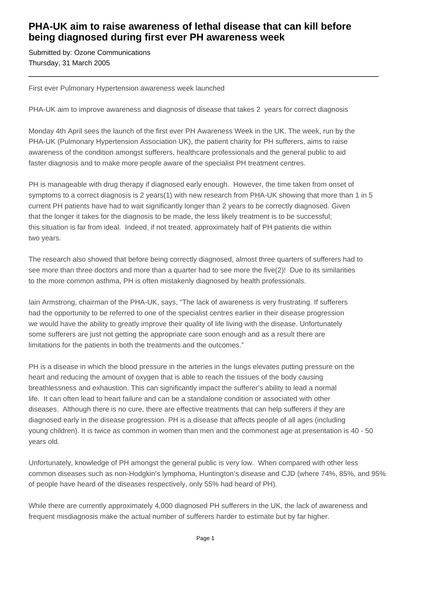## **PHA-UK aim to raise awareness of lethal disease that can kill before being diagnosed during first ever PH awareness week**

Submitted by: Ozone Communications Thursday, 31 March 2005

First ever Pulmonary Hypertension awareness week launched

PHA-UK aim to improve awareness and diagnosis of disease that takes 2 years for correct diagnosis

Monday 4th April sees the launch of the first ever PH Awareness Week in the UK. The week, run by the PHA-UK (Pulmonary Hypertension Association UK), the patient charity for PH sufferers, aims to raise awareness of the condition amongst sufferers, healthcare professionals and the general public to aid faster diagnosis and to make more people aware of the specialist PH treatment centres.

PH is manageable with drug therapy if diagnosed early enough. However, the time taken from onset of symptoms to a correct diagnosis is 2 years(1) with new research from PHA-UK showing that more than 1 in 5 current PH patients have had to wait significantly longer than 2 years to be correctly diagnosed. Given that the longer it takes for the diagnosis to be made, the less likely treatment is to be successful; this situation is far from ideal. Indeed, if not treated, approximately half of PH patients die within two years.

The research also showed that before being correctly diagnosed, almost three quarters of sufferers had to see more than three doctors and more than a quarter had to see more the five(2)! Due to its similarities to the more common asthma, PH is often mistakenly diagnosed by health professionals.

Iain Armstrong, chairman of the PHA-UK, says, "The lack of awareness is very frustrating. If sufferers had the opportunity to be referred to one of the specialist centres earlier in their disease progression we would have the ability to greatly improve their quality of life living with the disease. Unfortunately some sufferers are just not getting the appropriate care soon enough and as a result there are limitations for the patients in both the treatments and the outcomes."

PH is a disease in which the blood pressure in the arteries in the lungs elevates putting pressure on the heart and reducing the amount of oxygen that is able to reach the tissues of the body causing breathlessness and exhaustion. This can significantly impact the sufferer's ability to lead a normal life. It can often lead to heart failure and can be a standalone condition or associated with other diseases. Although there is no cure, there are effective treatments that can help sufferers if they are diagnosed early in the disease progression. PH is a disease that affects people of all ages (including young children). It is twice as common in women than men and the commonest age at presentation is 40 - 50 years old.

Unfortunately, knowledge of PH amongst the general public is very low. When compared with other less common diseases such as non-Hodgkin's lymphoma, Huntington's disease and CJD (where 74%, 85%, and 95% of people have heard of the diseases respectively, only 55% had heard of PH).

While there are currently approximately 4,000 diagnosed PH sufferers in the UK, the lack of awareness and frequent misdiagnosis make the actual number of sufferers harder to estimate but by far higher.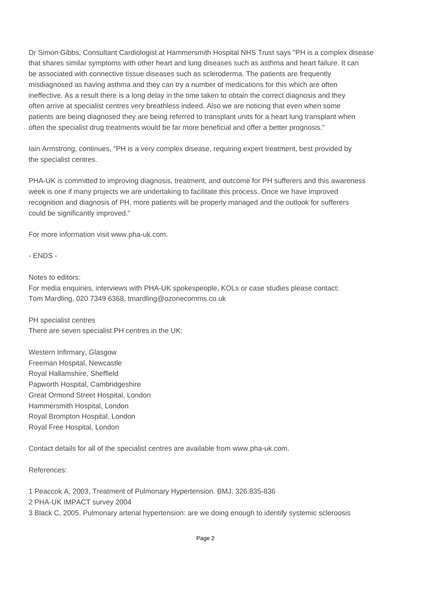Dr Simon Gibbs, Consultant Cardiologist at Hammersmith Hospital NHS Trust says "PH is a complex disease that shares similar symptoms with other heart and lung diseases such as asthma and heart failure. It can be associated with connective tissue diseases such as scleroderma. The patients are frequently misdiagnosed as having asthma and they can try a number of medications for this which are often ineffective. As a result there is a long delay in the time taken to obtain the correct diagnosis and they often arrive at specialist centres very breathless indeed. Also we are noticing that even when some patients are being diagnosed they are being referred to transplant units for a heart lung transplant when often the specialist drug treatments would be far more beneficial and offer a better prognosis."

Iain Armstrong, continues, "PH is a very complex disease, requiring expert treatment, best provided by the specialist centres.

PHA-UK is committed to improving diagnosis, treatment, and outcome for PH sufferers and this awareness week is one if many projects we are undertaking to facilitate this process. Once we have improved recognition and diagnosis of PH, more patients will be properly managed and the outlook for sufferers could be significantly improved."

For more information visit www.pha-uk.com.

- ENDS -

Notes to editors:

For media enquiries, interviews with PHA-UK spokespeople, KOLs or case studies please contact: Tom Mardling, 020 7349 6368, tmardling@ozonecomms.co.uk

PH specialist centres There are seven specialist PH centres in the UK:

Western Infirmary, Glasgow Freeman Hospital, Newcastle Royal Hallamshire, Sheffield Papworth Hospital, Cambridgeshire Great Ormond Street Hospital, London Hammersmith Hospital, London Royal Brompton Hospital, London Royal Free Hospital, London

Contact details for all of the specialist centres are available from www.pha-uk.com.

References:

1 Peaccok A, 2003, Treatment of Pulmonary Hypertension. BMJ, 326:835-836 2 PHA-UK IMPACT survey 2004 3 Black C, 2005. Pulmonary arterial hypertension: are we doing enough to identify systemic scleroosis